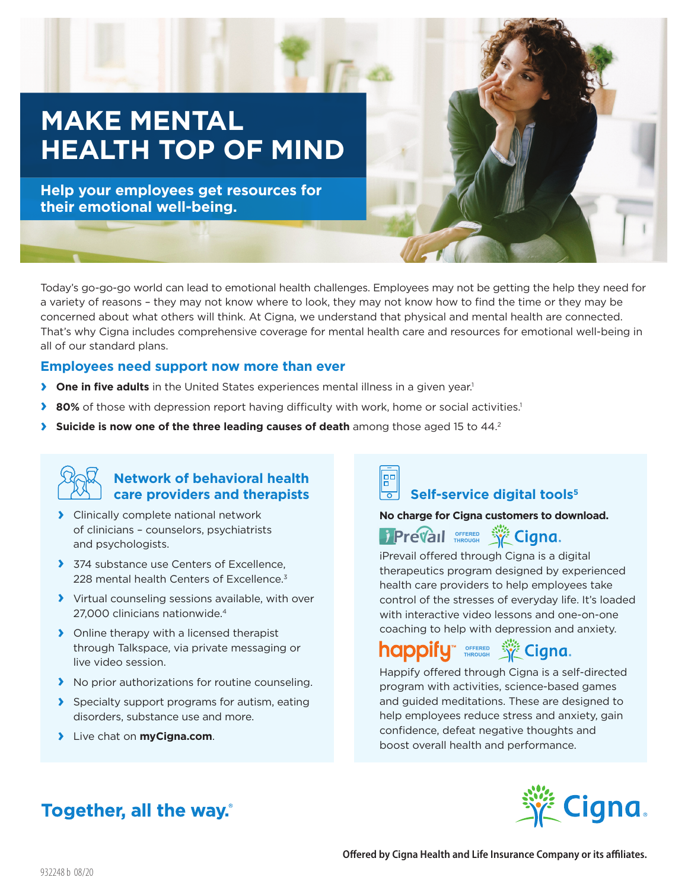# **MAKE MENTAL HEALTH TOP OF MIND**

**Help your employees get resources for their emotional well-being.**

Today's go-go-go world can lead to emotional health challenges. Employees may not be getting the help they need for a variety of reasons – they may not know where to look, they may not know how to find the time or they may be concerned about what others will think. At Cigna, we understand that physical and mental health are connected. That's why Cigna includes comprehensive coverage for mental health care and resources for emotional well-being in all of our standard plans.

#### **Employees need support now more than ever**

- **› One in five adults** in the United States experiences mental illness in a given year.<sup>1</sup>
- **▶ 80%** of those with depression report having difficulty with work, home or social activities.<sup>1</sup>
- **>** Suicide is now one of the three leading causes of death among those aged 15 to 44.2



#### **Network of behavioral health care providers and therapists**

- **›** Clinically complete national network of clinicians – counselors, psychiatrists and psychologists.
- **›** 374 substance use Centers of Excellence, 228 mental health Centers of Excellence.<sup>3</sup>
- **›** Virtual counseling sessions available, with over 27,000 clinicians nationwide.4
- **›** Online therapy with a licensed therapist through Talkspace, via private messaging or live video session.
- **›** No prior authorizations for routine counseling.
- **›** Specialty support programs for autism, eating disorders, substance use and more.
- **›** Live chat on **myCigna.com**.

### **Self-service digital tools<sup>5</sup>**

#### **No charge for Cigna customers to download.**



iPrevail offered through Cigna is a digital therapeutics program designed by experienced health care providers to help employees take control of the stresses of everyday life. It's loaded with interactive video lessons and one-on-one coaching to help with depression and anxiety.

## **happify Streken Street Cigna.**

Happify offered through Cigna is a self-directed program with activities, science-based games and guided meditations. These are designed to help employees reduce stress and anxiety, gain confidence, defeat negative thoughts and boost overall health and performance.

### **Together, all the way.**